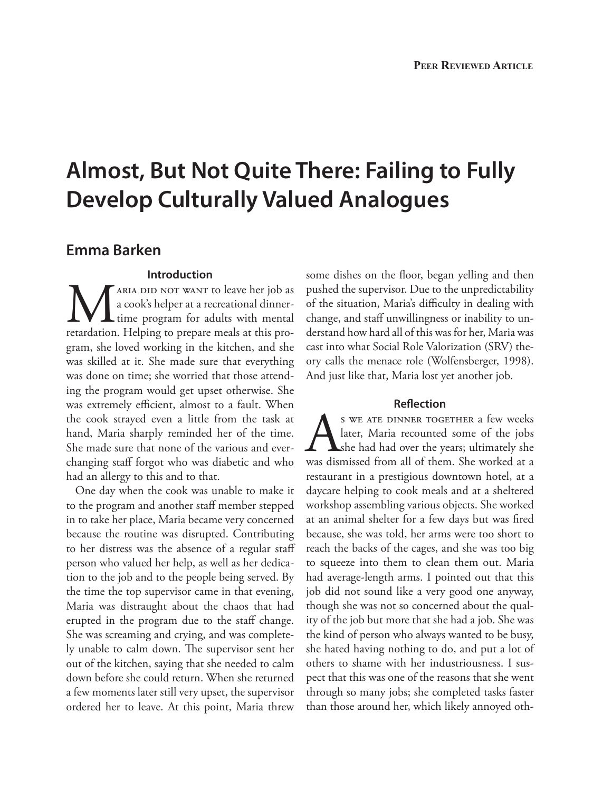# **Almost, But Not Quite There: Failing to Fully Develop Culturally Valued Analogues**

### **Emma Barken**

#### **Introduction**

MARIA DID NOT WANT to leave her job as<br>a cook's helper at a recreational dinner-<br>retardation. Helping to prepare meals at this proa cook's helper at a recreational dinner-**L** time program for adults with mental retardation. Helping to prepare meals at this program, she loved working in the kitchen, and she was skilled at it. She made sure that everything was done on time; she worried that those attending the program would get upset otherwise. She was extremely efficient, almost to a fault. When the cook strayed even a little from the task at hand, Maria sharply reminded her of the time. She made sure that none of the various and everchanging staff forgot who was diabetic and who had an allergy to this and to that.

One day when the cook was unable to make it to the program and another staff member stepped in to take her place, Maria became very concerned because the routine was disrupted. Contributing to her distress was the absence of a regular staff person who valued her help, as well as her dedication to the job and to the people being served. By the time the top supervisor came in that evening, Maria was distraught about the chaos that had erupted in the program due to the staff change. She was screaming and crying, and was completely unable to calm down. The supervisor sent her out of the kitchen, saying that she needed to calm down before she could return. When she returned a few moments later still very upset, the supervisor ordered her to leave. At this point, Maria threw

some dishes on the floor, began yelling and then pushed the supervisor. Due to the unpredictability of the situation, Maria's difficulty in dealing with change, and staff unwillingness or inability to understand how hard all of this was for her, Maria was cast into what Social Role Valorization (SRV) theory calls the menace role (Wolfensberger, 1998). And just like that, Maria lost yet another job.

#### **Reflection**

S WE ATE DINNER TOGETHER a few weeks<br>later, Maria recounted some of the jobs<br>she had had over the years; ultimately she<br>was dismissed from all of them. She worked at a later, Maria recounted some of the jobs she had had over the years; ultimately she was dismissed from all of them. She worked at a restaurant in a prestigious downtown hotel, at a daycare helping to cook meals and at a sheltered workshop assembling various objects. She worked at an animal shelter for a few days but was fired because, she was told, her arms were too short to reach the backs of the cages, and she was too big to squeeze into them to clean them out. Maria had average-length arms. I pointed out that this job did not sound like a very good one anyway, though she was not so concerned about the quality of the job but more that she had a job. She was the kind of person who always wanted to be busy, she hated having nothing to do, and put a lot of others to shame with her industriousness. I suspect that this was one of the reasons that she went through so many jobs; she completed tasks faster than those around her, which likely annoyed oth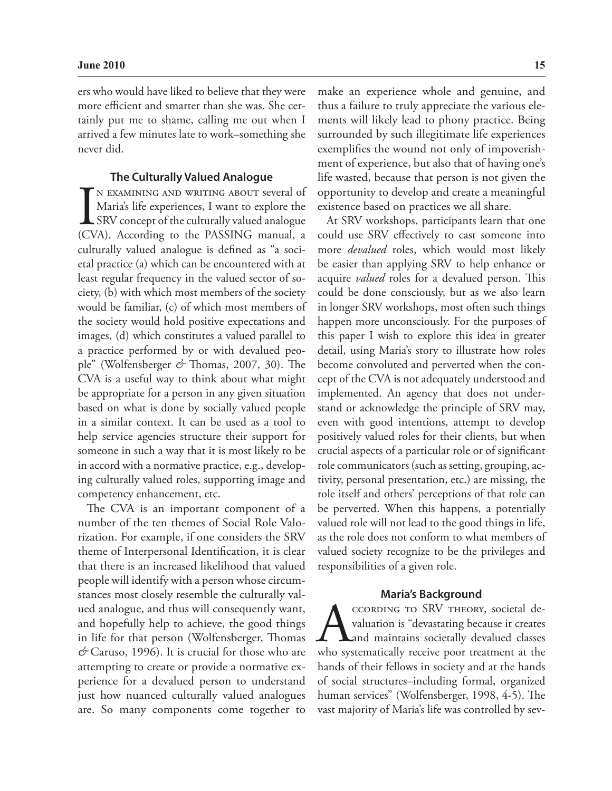ers who would have liked to believe that they were more efficient and smarter than she was. She certainly put me to shame, calling me out when I arrived a few minutes late to work–something she never did.

#### **The Culturally Valued Analogue**

IN EXAMINING AND WRITING ABOUT several of Maria's life experiences, I want to explore the SRV concept of the culturally valued analogue (CVA). According to the PASSING manual, a n examining and writing about several of Maria's life experiences, I want to explore the SRV concept of the culturally valued analogue culturally valued analogue is defined as "a societal practice (a) which can be encountered with at least regular frequency in the valued sector of society, (b) with which most members of the society would be familiar, (c) of which most members of the society would hold positive expectations and images, (d) which constitutes a valued parallel to a practice performed by or with devalued people" (Wolfensberger *&* Thomas, 2007, 30). The CVA is a useful way to think about what might be appropriate for a person in any given situation based on what is done by socially valued people in a similar context. It can be used as a tool to help service agencies structure their support for someone in such a way that it is most likely to be in accord with a normative practice, e.g., developing culturally valued roles, supporting image and competency enhancement, etc.

The CVA is an important component of a number of the ten themes of Social Role Valorization. For example, if one considers the SRV theme of Interpersonal Identification, it is clear that there is an increased likelihood that valued people will identify with a person whose circumstances most closely resemble the culturally valued analogue, and thus will consequently want, and hopefully help to achieve, the good things in life for that person (Wolfensberger, Thomas *&* Caruso, 1996). It is crucial for those who are attempting to create or provide a normative experience for a devalued person to understand just how nuanced culturally valued analogues are. So many components come together to make an experience whole and genuine, and thus a failure to truly appreciate the various elements will likely lead to phony practice. Being surrounded by such illegitimate life experiences exemplifies the wound not only of impoverishment of experience, but also that of having one's life wasted, because that person is not given the opportunity to develop and create a meaningful existence based on practices we all share.

At SRV workshops, participants learn that one could use SRV effectively to cast someone into more *devalued* roles, which would most likely be easier than applying SRV to help enhance or acquire *valued* roles for a devalued person. This could be done consciously, but as we also learn in longer SRV workshops, most often such things happen more unconsciously. For the purposes of this paper I wish to explore this idea in greater detail, using Maria's story to illustrate how roles become convoluted and perverted when the concept of the CVA is not adequately understood and implemented. An agency that does not understand or acknowledge the principle of SRV may, even with good intentions, attempt to develop positively valued roles for their clients, but when crucial aspects of a particular role or of significant role communicators (such as setting, grouping, activity, personal presentation, etc.) are missing, the role itself and others' perceptions of that role can be perverted. When this happens, a potentially valued role will not lead to the good things in life, as the role does not conform to what members of valued society recognize to be the privileges and responsibilities of a given role.

#### **Maria's Background**

CORDING TO SRV THEORY, societal devaluation is "devastating because it creates"<br>and maintains societally devalued classes<br>who systematically receive poor treatment at the valuation is "devastating because it creates and maintains societally devalued classes hands of their fellows in society and at the hands of social structures–including formal, organized human services" (Wolfensberger, 1998, 4-5). The vast majority of Maria's life was controlled by sev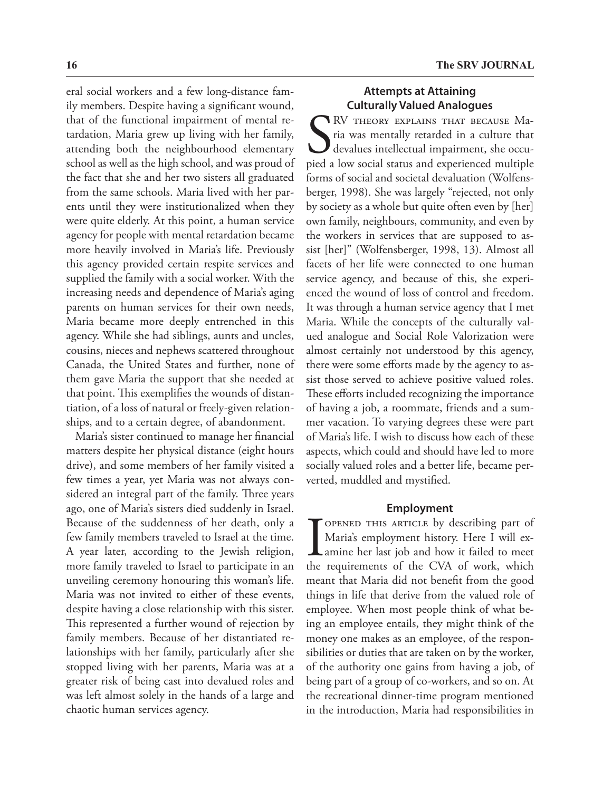eral social workers and a few long-distance family members. Despite having a significant wound, that of the functional impairment of mental retardation, Maria grew up living with her family, attending both the neighbourhood elementary school as well as the high school, and was proud of the fact that she and her two sisters all graduated from the same schools. Maria lived with her parents until they were institutionalized when they were quite elderly. At this point, a human service agency for people with mental retardation became more heavily involved in Maria's life. Previously this agency provided certain respite services and supplied the family with a social worker. With the increasing needs and dependence of Maria's aging parents on human services for their own needs, Maria became more deeply entrenched in this agency. While she had siblings, aunts and uncles, cousins, nieces and nephews scattered throughout Canada, the United States and further, none of them gave Maria the support that she needed at that point. This exemplifies the wounds of distantiation, of a loss of natural or freely-given relationships, and to a certain degree, of abandonment.

Maria's sister continued to manage her financial matters despite her physical distance (eight hours drive), and some members of her family visited a few times a year, yet Maria was not always considered an integral part of the family. Three years ago, one of Maria's sisters died suddenly in Israel. Because of the suddenness of her death, only a few family members traveled to Israel at the time. A year later, according to the Jewish religion, more family traveled to Israel to participate in an unveiling ceremony honouring this woman's life. Maria was not invited to either of these events, despite having a close relationship with this sister. This represented a further wound of rejection by family members. Because of her distantiated relationships with her family, particularly after she stopped living with her parents, Maria was at a greater risk of being cast into devalued roles and was left almost solely in the hands of a large and chaotic human services agency.

#### **Attempts at Attaining Culturally Valued Analogues**

S<sub>pied</sub> RV theory explains that because Maria was mentally retarded in a culture that devalues intellectual impairment, she occupied a low social status and experienced multiple forms of social and societal devaluation (Wolfensberger, 1998). She was largely "rejected, not only by society as a whole but quite often even by [her] own family, neighbours, community, and even by the workers in services that are supposed to assist [her]" (Wolfensberger, 1998, 13). Almost all facets of her life were connected to one human service agency, and because of this, she experienced the wound of loss of control and freedom. It was through a human service agency that I met Maria. While the concepts of the culturally valued analogue and Social Role Valorization were almost certainly not understood by this agency, there were some efforts made by the agency to assist those served to achieve positive valued roles. These efforts included recognizing the importance of having a job, a roommate, friends and a summer vacation. To varying degrees these were part of Maria's life. I wish to discuss how each of these aspects, which could and should have led to more socially valued roles and a better life, became perverted, muddled and mystified.

#### **Employment**

**I OPENED THIS ARTICLE by describing part of Maria's employment history. Here I will examine her last job and how it failed to meet the requirements of the CVA of work, which** Maria's employment history. Here I will examine her last job and how it failed to meet the requirements of the CVA of work, which meant that Maria did not benefit from the good things in life that derive from the valued role of employee. When most people think of what being an employee entails, they might think of the money one makes as an employee, of the responsibilities or duties that are taken on by the worker, of the authority one gains from having a job, of being part of a group of co-workers, and so on. At the recreational dinner-time program mentioned in the introduction, Maria had responsibilities in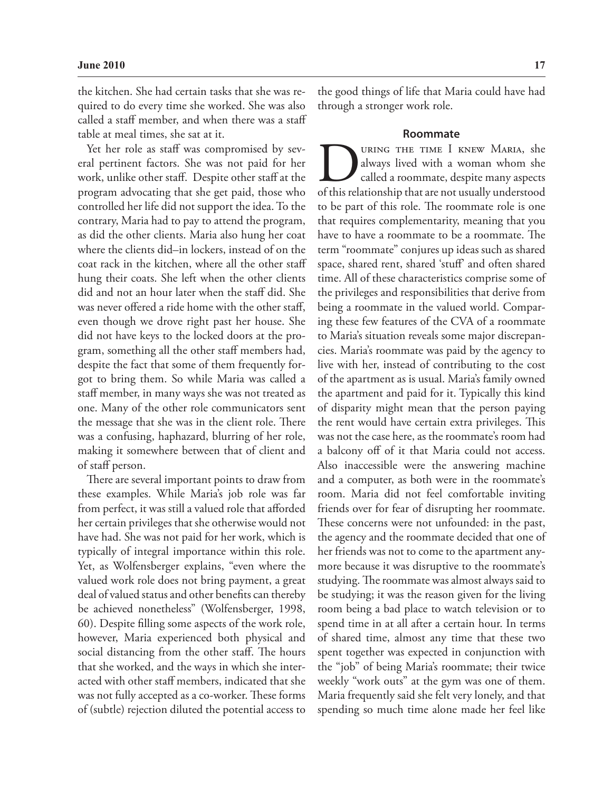the kitchen. She had certain tasks that she was required to do every time she worked. She was also called a staff member, and when there was a staff table at meal times, she sat at it.

Yet her role as staff was compromised by several pertinent factors. She was not paid for her work, unlike other staff. Despite other staff at the program advocating that she get paid, those who controlled her life did not support the idea. To the contrary, Maria had to pay to attend the program, as did the other clients. Maria also hung her coat where the clients did–in lockers, instead of on the coat rack in the kitchen, where all the other staff hung their coats. She left when the other clients did and not an hour later when the staff did. She was never offered a ride home with the other staff, even though we drove right past her house. She did not have keys to the locked doors at the program, something all the other staff members had, despite the fact that some of them frequently forgot to bring them. So while Maria was called a staff member, in many ways she was not treated as one. Many of the other role communicators sent the message that she was in the client role. There was a confusing, haphazard, blurring of her role, making it somewhere between that of client and of staff person.

There are several important points to draw from these examples. While Maria's job role was far from perfect, it was still a valued role that afforded her certain privileges that she otherwise would not have had. She was not paid for her work, which is typically of integral importance within this role. Yet, as Wolfensberger explains, "even where the valued work role does not bring payment, a great deal of valued status and other benefits can thereby be achieved nonetheless" (Wolfensberger, 1998, 60). Despite filling some aspects of the work role, however, Maria experienced both physical and social distancing from the other staff. The hours that she worked, and the ways in which she interacted with other staff members, indicated that she was not fully accepted as a co-worker. These forms of (subtle) rejection diluted the potential access to

the good things of life that Maria could have had through a stronger work role.

#### **Roommate**

URING THE TIME I KNEW MARIA, she always lived with a woman whom she called a roommate, despite many aspects of this relationship that are not usually understood always lived with a woman whom she called a roommate, despite many aspects of this relationship that are not usually understood to be part of this role. The roommate role is one that requires complementarity, meaning that you have to have a roommate to be a roommate. The term "roommate" conjures up ideas such as shared space, shared rent, shared 'stuff' and often shared time. All of these characteristics comprise some of the privileges and responsibilities that derive from being a roommate in the valued world. Comparing these few features of the CVA of a roommate to Maria's situation reveals some major discrepancies. Maria's roommate was paid by the agency to live with her, instead of contributing to the cost of the apartment as is usual. Maria's family owned the apartment and paid for it. Typically this kind of disparity might mean that the person paying the rent would have certain extra privileges. This was not the case here, as the roommate's room had a balcony off of it that Maria could not access. Also inaccessible were the answering machine and a computer, as both were in the roommate's room. Maria did not feel comfortable inviting friends over for fear of disrupting her roommate. These concerns were not unfounded: in the past, the agency and the roommate decided that one of her friends was not to come to the apartment anymore because it was disruptive to the roommate's studying. The roommate was almost always said to be studying; it was the reason given for the living room being a bad place to watch television or to spend time in at all after a certain hour. In terms of shared time, almost any time that these two spent together was expected in conjunction with the "job" of being Maria's roommate; their twice weekly "work outs" at the gym was one of them. Maria frequently said she felt very lonely, and that spending so much time alone made her feel like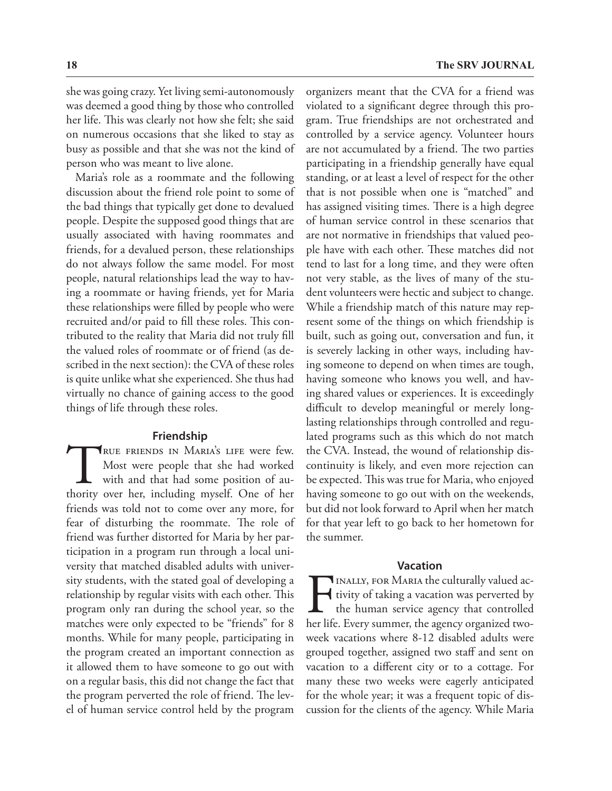she was going crazy. Yet living semi-autonomously was deemed a good thing by those who controlled her life. This was clearly not how she felt; she said on numerous occasions that she liked to stay as busy as possible and that she was not the kind of person who was meant to live alone.

Maria's role as a roommate and the following discussion about the friend role point to some of the bad things that typically get done to devalued people. Despite the supposed good things that are usually associated with having roommates and friends, for a devalued person, these relationships do not always follow the same model. For most people, natural relationships lead the way to having a roommate or having friends, yet for Maria these relationships were filled by people who were recruited and/or paid to fill these roles. This contributed to the reality that Maria did not truly fill the valued roles of roommate or of friend (as described in the next section): the CVA of these roles is quite unlike what she experienced. She thus had virtually no chance of gaining access to the good things of life through these roles.

#### **Friendship**

TRUE FRIENDS IN MARIA'S LIFE were few.<br>Most were people that she had worked<br>with and that had some position of au-<br>thority over her, including myself. One of her Most were people that she had worked with and that had some position of authority over her, including myself. One of her friends was told not to come over any more, for fear of disturbing the roommate. The role of friend was further distorted for Maria by her participation in a program run through a local university that matched disabled adults with university students, with the stated goal of developing a relationship by regular visits with each other. This program only ran during the school year, so the matches were only expected to be "friends" for 8 months. While for many people, participating in the program created an important connection as it allowed them to have someone to go out with on a regular basis, this did not change the fact that the program perverted the role of friend. The level of human service control held by the program

organizers meant that the CVA for a friend was violated to a significant degree through this program. True friendships are not orchestrated and controlled by a service agency. Volunteer hours are not accumulated by a friend. The two parties participating in a friendship generally have equal standing, or at least a level of respect for the other that is not possible when one is "matched" and has assigned visiting times. There is a high degree of human service control in these scenarios that are not normative in friendships that valued people have with each other. These matches did not tend to last for a long time, and they were often not very stable, as the lives of many of the student volunteers were hectic and subject to change. While a friendship match of this nature may represent some of the things on which friendship is built, such as going out, conversation and fun, it is severely lacking in other ways, including having someone to depend on when times are tough, having someone who knows you well, and having shared values or experiences. It is exceedingly difficult to develop meaningful or merely longlasting relationships through controlled and regulated programs such as this which do not match the CVA. Instead, the wound of relationship discontinuity is likely, and even more rejection can be expected. This was true for Maria, who enjoyed having someone to go out with on the weekends, but did not look forward to April when her match for that year left to go back to her hometown for the summer.

#### **Vacation**

INALLY, FOR MARIA the culturally valued activity of taking a vacation was perverted by the human service agency that controlled her life. Every summer, the agency organized twotivity of taking a vacation was perverted by the human service agency that controlled her life. Every summer, the agency organized twoweek vacations where 8-12 disabled adults were grouped together, assigned two staff and sent on vacation to a different city or to a cottage. For many these two weeks were eagerly anticipated for the whole year; it was a frequent topic of discussion for the clients of the agency. While Maria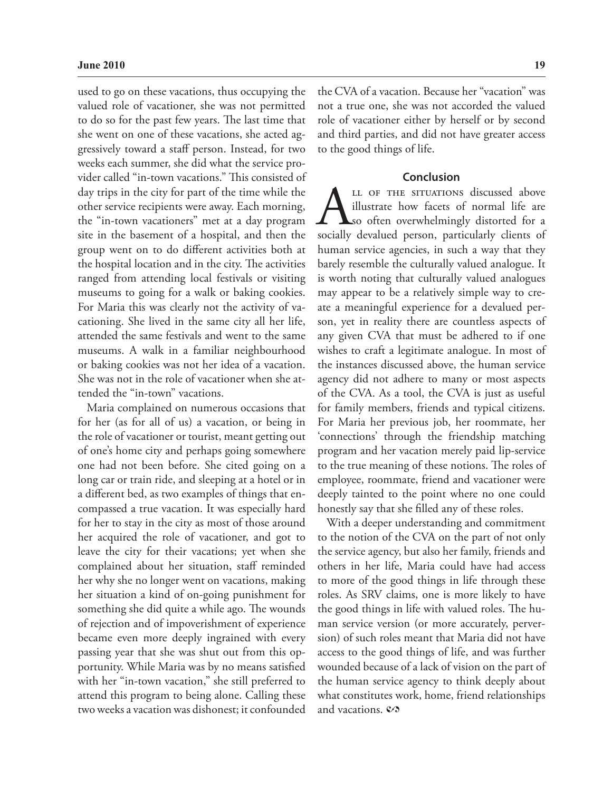used to go on these vacations, thus occupying the valued role of vacationer, she was not permitted to do so for the past few years. The last time that she went on one of these vacations, she acted aggressively toward a staff person. Instead, for two weeks each summer, she did what the service provider called "in-town vacations." This consisted of day trips in the city for part of the time while the other service recipients were away. Each morning, the "in-town vacationers" met at a day program site in the basement of a hospital, and then the group went on to do different activities both at the hospital location and in the city. The activities ranged from attending local festivals or visiting museums to going for a walk or baking cookies. For Maria this was clearly not the activity of vacationing. She lived in the same city all her life, attended the same festivals and went to the same museums. A walk in a familiar neighbourhood or baking cookies was not her idea of a vacation. She was not in the role of vacationer when she attended the "in-town" vacations.

Maria complained on numerous occasions that for her (as for all of us) a vacation, or being in the role of vacationer or tourist, meant getting out of one's home city and perhaps going somewhere one had not been before. She cited going on a long car or train ride, and sleeping at a hotel or in a different bed, as two examples of things that encompassed a true vacation. It was especially hard for her to stay in the city as most of those around her acquired the role of vacationer, and got to leave the city for their vacations; yet when she complained about her situation, staff reminded her why she no longer went on vacations, making her situation a kind of on-going punishment for something she did quite a while ago. The wounds of rejection and of impoverishment of experience became even more deeply ingrained with every passing year that she was shut out from this opportunity. While Maria was by no means satisfied with her "in-town vacation," she still preferred to attend this program to being alone. Calling these two weeks a vacation was dishonest; it confounded

the CVA of a vacation. Because her "vacation" was not a true one, she was not accorded the valued role of vacationer either by herself or by second and third parties, and did not have greater access to the good things of life.

#### **Conclusion**

LL OF THE SITUATIONS discussed above illustrate how facets of normal life are so often overwhelmingly distorted for a socially devalued person, particularly clients of illustrate how facets of normal life are so often overwhelmingly distorted for a human service agencies, in such a way that they barely resemble the culturally valued analogue. It is worth noting that culturally valued analogues may appear to be a relatively simple way to create a meaningful experience for a devalued person, yet in reality there are countless aspects of any given CVA that must be adhered to if one wishes to craft a legitimate analogue. In most of the instances discussed above, the human service agency did not adhere to many or most aspects of the CVA. As a tool, the CVA is just as useful for family members, friends and typical citizens. For Maria her previous job, her roommate, her 'connections' through the friendship matching program and her vacation merely paid lip-service to the true meaning of these notions. The roles of employee, roommate, friend and vacationer were deeply tainted to the point where no one could honestly say that she filled any of these roles.

With a deeper understanding and commitment to the notion of the CVA on the part of not only the service agency, but also her family, friends and others in her life, Maria could have had access to more of the good things in life through these roles. As SRV claims, one is more likely to have the good things in life with valued roles. The human service version (or more accurately, perversion) of such roles meant that Maria did not have access to the good things of life, and was further wounded because of a lack of vision on the part of the human service agency to think deeply about what constitutes work, home, friend relationships and vacations.  $\mathcal{O}$